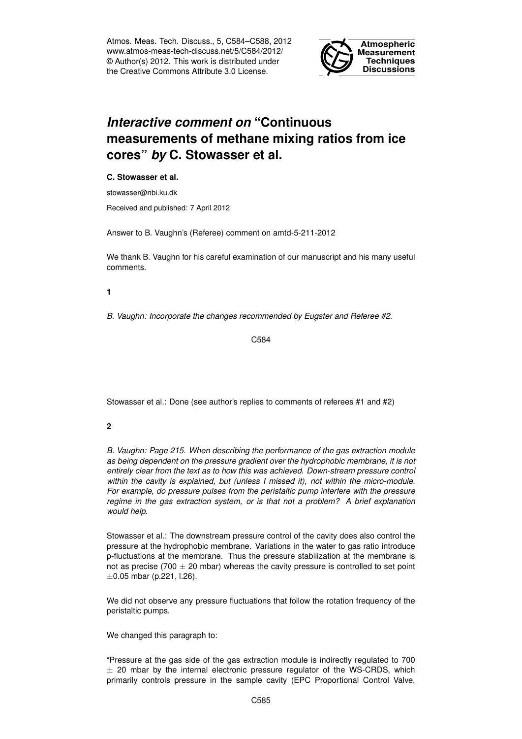Atmos. Meas. Tech. Discuss., 5, C584–C588, 2012 www.atmos-meas-tech-discuss.net/5/C584/2012/ © Author(s) 2012. This work is distributed under the Creative Commons Attribute 3.0 License.



# *Interactive comment on* **"Continuous measurements of methane mixing ratios from ice cores"** *by* **C. Stowasser et al.**

### **C. Stowasser et al.**

stowasser@nbi.ku.dk

Received and published: 7 April 2012

Answer to B. Vaughn's (Referee) comment on amtd-5-211-2012

We thank B. Vaughn for his careful examination of our manuscript and his many useful comments.

#### **1**

*B. Vaughn: Incorporate the changes recommended by Eugster and Referee #2.*

C584

Stowasser et al.: Done (see author's replies to comments of referees #1 and #2)

## **2**

*B. Vaughn: Page 215. When describing the performance of the gas extraction module as being dependent on the pressure gradient over the hydrophobic membrane, it is not entirely clear from the text as to how this was achieved. Down-stream pressure control within the cavity is explained, but (unless I missed it), not within the micro-module. For example, do pressure pulses from the peristaltic pump interfere with the pressure regime in the gas extraction system, or is that not a problem? A brief explanation would help.*

Stowasser et al.: The downstream pressure control of the cavity does also control the pressure at the hydrophobic membrane. Variations in the water to gas ratio introduce p-fluctuations at the membrane. Thus the pressure stabilization at the membrane is not as precise (700  $\pm$  20 mbar) whereas the cavity pressure is controlled to set point  $\pm 0.05$  mbar (p.221, l.26).

We did not observe any pressure fluctuations that follow the rotation frequency of the peristaltic pumps.

We changed this paragraph to:

"Pressure at the gas side of the gas extraction module is indirectly regulated to 700  $\pm$  20 mbar by the internal electronic pressure regulator of the WS-CRDS, which primarily controls pressure in the sample cavity (EPC Proportional Control Valve,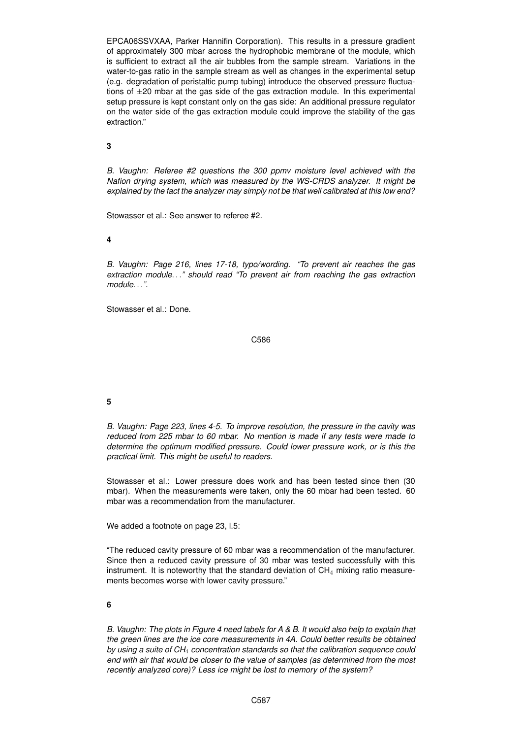EPCA06SSVXAA, Parker Hannifin Corporation). This results in a pressure gradient of approximately 300 mbar across the hydrophobic membrane of the module, which is sufficient to extract all the air bubbles from the sample stream. Variations in the water-to-gas ratio in the sample stream as well as changes in the experimental setup (e.g. degradation of peristaltic pump tubing) introduce the observed pressure fluctuations of  $\pm 20$  mbar at the gas side of the gas extraction module. In this experimental setup pressure is kept constant only on the gas side: An additional pressure regulator on the water side of the gas extraction module could improve the stability of the gas extraction."

**3**

*B. Vaughn: Referee #2 questions the 300 ppmv moisture level achieved with the Nafion drying system, which was measured by the WS-CRDS analyzer. It might be explained by the fact the analyzer may simply not be that well calibrated at this low end?*

Stowasser et al.: See answer to referee #2.

**4**

*B. Vaughn: Page 216, lines 17-18, typo/wording. "To prevent air reaches the gas extraction module*. . .*" should read "To prevent air from reaching the gas extraction module*. . .*".*

Stowasser et al.: Done.

C586

## **5**

*B. Vaughn: Page 223, lines 4-5. To improve resolution, the pressure in the cavity was reduced from 225 mbar to 60 mbar. No mention is made if any tests were made to determine the optimum modified pressure. Could lower pressure work, or is this the practical limit. This might be useful to readers.*

Stowasser et al.: Lower pressure does work and has been tested since then (30 mbar). When the measurements were taken, only the 60 mbar had been tested. 60 mbar was a recommendation from the manufacturer.

We added a footnote on page 23, I.5:

"The reduced cavity pressure of 60 mbar was a recommendation of the manufacturer. Since then a reduced cavity pressure of 30 mbar was tested successfully with this instrument. It is noteworthy that the standard deviation of  $CH<sub>4</sub>$  mixing ratio measurements becomes worse with lower cavity pressure."

#### **6**

*B. Vaughn: The plots in Figure 4 need labels for A & B. It would also help to explain that the green lines are the ice core measurements in 4A. Could better results be obtained by using a suite of CH*<sup>4</sup> *concentration standards so that the calibration sequence could end with air that would be closer to the value of samples (as determined from the most recently analyzed core)? Less ice might be lost to memory of the system?*